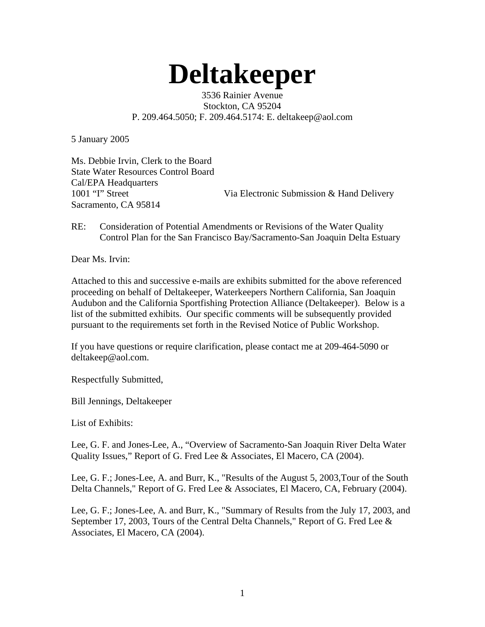## **Deltakeeper**

3536 Rainier Avenue Stockton, CA 95204 P. 209.464.5050; F. 209.464.5174: E. deltakeep@aol.com

5 January 2005

Ms. Debbie Irvin, Clerk to the Board State Water Resources Control Board Cal/EPA Headquarters 1001 "I" Street Via Electronic Submission & Hand Delivery Sacramento, CA 95814

RE: Consideration of Potential Amendments or Revisions of the Water Quality Control Plan for the San Francisco Bay/Sacramento-San Joaquin Delta Estuary

Dear Ms. Irvin:

Attached to this and successive e-mails are exhibits submitted for the above referenced proceeding on behalf of Deltakeeper, Waterkeepers Northern California, San Joaquin Audubon and the California Sportfishing Protection Alliance (Deltakeeper). Below is a list of the submitted exhibits. Our specific comments will be subsequently provided pursuant to the requirements set forth in the Revised Notice of Public Workshop.

If you have questions or require clarification, please contact me at 209-464-5090 or deltakeep@aol.com.

Respectfully Submitted,

Bill Jennings, Deltakeeper

List of Exhibits:

Lee, G. F. and Jones-Lee, A., "Overview of Sacramento-San Joaquin River Delta Water Quality Issues," Report of G. Fred Lee & Associates, El Macero, CA (2004).

Lee, G. F.; Jones-Lee, A. and Burr, K., "Results of the August 5, 2003,Tour of the South Delta Channels," Report of G. Fred Lee & Associates, El Macero, CA, February (2004).

Lee, G. F.; Jones-Lee, A. and Burr, K., "Summary of Results from the July 17, 2003, and September 17, 2003, Tours of the Central Delta Channels," Report of G. Fred Lee & Associates, El Macero, CA (2004).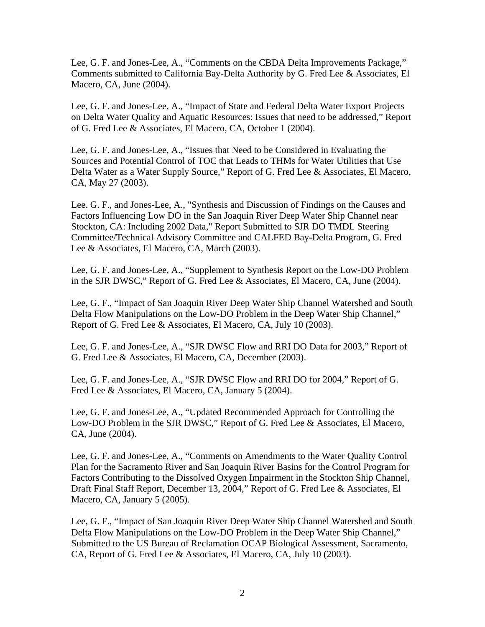Lee, G. F. and Jones-Lee, A., "Comments on the CBDA Delta Improvements Package," Comments submitted to California Bay-Delta Authority by G. Fred Lee & Associates, El Macero, CA, June (2004).

Lee, G. F. and Jones-Lee, A., "Impact of State and Federal Delta Water Export Projects on Delta Water Quality and Aquatic Resources: Issues that need to be addressed," Report of G. Fred Lee & Associates, El Macero, CA, October 1 (2004).

Lee, G. F. and Jones-Lee, A., "Issues that Need to be Considered in Evaluating the Sources and Potential Control of TOC that Leads to THMs for Water Utilities that Use Delta Water as a Water Supply Source," Report of G. Fred Lee & Associates, El Macero, CA, May 27 (2003).

Lee. G. F., and Jones-Lee, A., "Synthesis and Discussion of Findings on the Causes and Factors Influencing Low DO in the San Joaquin River Deep Water Ship Channel near Stockton, CA: Including 2002 Data," Report Submitted to SJR DO TMDL Steering Committee/Technical Advisory Committee and CALFED Bay-Delta Program, G. Fred Lee & Associates, El Macero, CA, March (2003).

Lee, G. F. and Jones-Lee, A., "Supplement to Synthesis Report on the Low-DO Problem in the SJR DWSC," Report of G. Fred Lee & Associates, El Macero, CA, June (2004).

Lee, G. F., "Impact of San Joaquin River Deep Water Ship Channel Watershed and South Delta Flow Manipulations on the Low-DO Problem in the Deep Water Ship Channel," Report of G. Fred Lee & Associates, El Macero, CA, July 10 (2003).

Lee, G. F. and Jones-Lee, A., "SJR DWSC Flow and RRI DO Data for 2003," Report of G. Fred Lee & Associates, El Macero, CA, December (2003).

Lee, G. F. and Jones-Lee, A., "SJR DWSC Flow and RRI DO for 2004," Report of G. Fred Lee & Associates, El Macero, CA, January 5 (2004).

Lee, G. F. and Jones-Lee, A., "Updated Recommended Approach for Controlling the Low-DO Problem in the SJR DWSC," Report of G. Fred Lee & Associates, El Macero, CA, June (2004).

Lee, G. F. and Jones-Lee, A., "Comments on Amendments to the Water Quality Control Plan for the Sacramento River and San Joaquin River Basins for the Control Program for Factors Contributing to the Dissolved Oxygen Impairment in the Stockton Ship Channel, Draft Final Staff Report, December 13, 2004," Report of G. Fred Lee & Associates, El Macero, CA, January 5 (2005).

Lee, G. F., "Impact of San Joaquin River Deep Water Ship Channel Watershed and South Delta Flow Manipulations on the Low-DO Problem in the Deep Water Ship Channel," Submitted to the US Bureau of Reclamation OCAP Biological Assessment, Sacramento, CA, Report of G. Fred Lee & Associates, El Macero, CA, July 10 (2003).